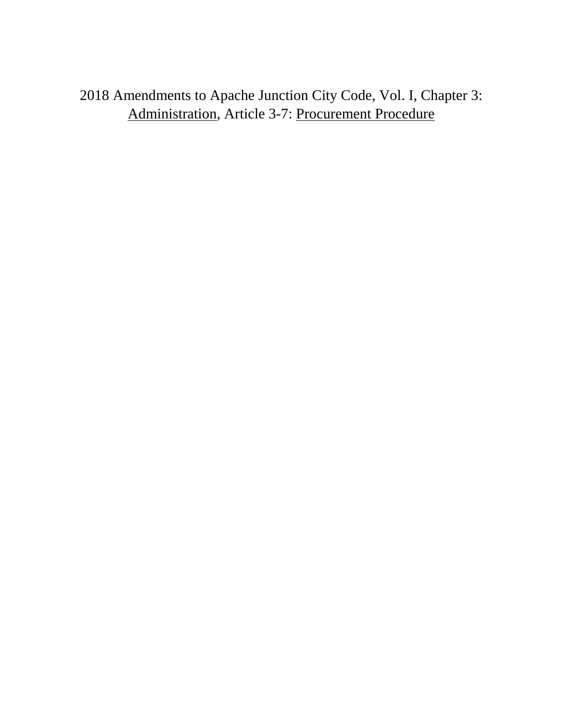2018 Amendments to Apache Junction City Code, Vol. I, Chapter 3: Administration, Article 3-7: Procurement Procedure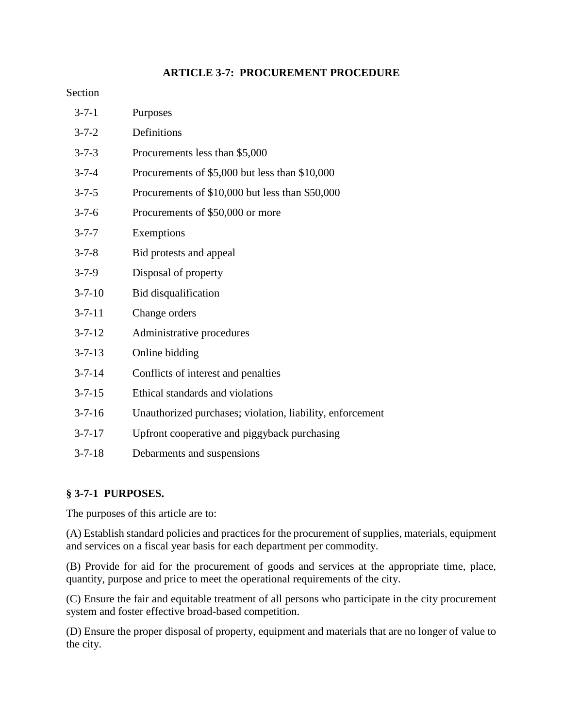# **ARTICLE 3-7: PROCUREMENT PROCEDURE**

## Section

| $3 - 7 - 1$  | Purposes                                                  |
|--------------|-----------------------------------------------------------|
| $3 - 7 - 2$  | Definitions                                               |
| $3 - 7 - 3$  | Procurements less than \$5,000                            |
| $3 - 7 - 4$  | Procurements of \$5,000 but less than \$10,000            |
| $3 - 7 - 5$  | Procurements of \$10,000 but less than \$50,000           |
| $3 - 7 - 6$  | Procurements of \$50,000 or more                          |
| $3 - 7 - 7$  | Exemptions                                                |
| $3 - 7 - 8$  | Bid protests and appeal                                   |
| $3 - 7 - 9$  | Disposal of property                                      |
| $3 - 7 - 10$ | Bid disqualification                                      |
| $3 - 7 - 11$ | Change orders                                             |
| $3 - 7 - 12$ | Administrative procedures                                 |
| $3 - 7 - 13$ | Online bidding                                            |
| $3 - 7 - 14$ | Conflicts of interest and penalties                       |
| $3 - 7 - 15$ | Ethical standards and violations                          |
| $3 - 7 - 16$ | Unauthorized purchases; violation, liability, enforcement |
| $3 - 7 - 17$ | Upfront cooperative and piggyback purchasing              |
| $3 - 7 - 18$ | Debarments and suspensions                                |

# **§ 3-7-1 PURPOSES.**

The purposes of this article are to:

(A) Establish standard policies and practices for the procurement of supplies, materials, equipment and services on a fiscal year basis for each department per commodity.

(B) Provide for aid for the procurement of goods and services at the appropriate time, place, quantity, purpose and price to meet the operational requirements of the city.

(C) Ensure the fair and equitable treatment of all persons who participate in the city procurement system and foster effective broad-based competition.

(D) Ensure the proper disposal of property, equipment and materials that are no longer of value to the city.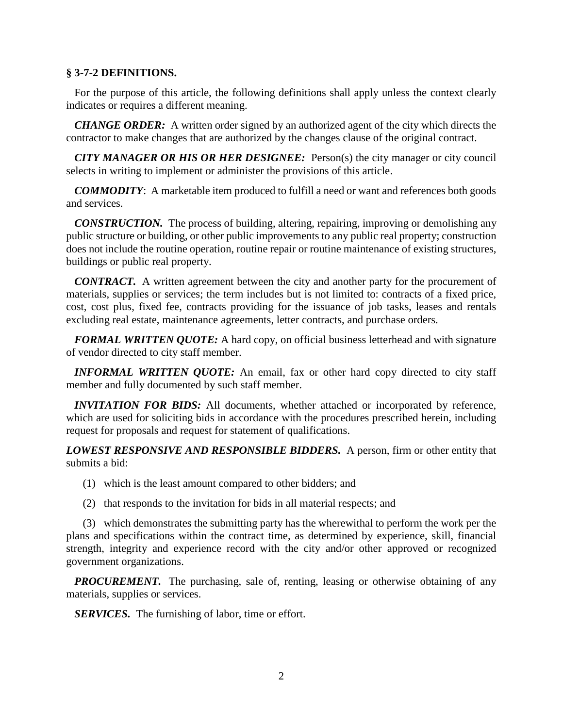### **§ 3-7-2 DEFINITIONS.**

 For the purpose of this article, the following definitions shall apply unless the context clearly indicates or requires a different meaning.

 *CHANGE ORDER:* A written order signed by an authorized agent of the city which directs the contractor to make changes that are authorized by the changes clause of the original contract.

 *CITY MANAGER OR HIS OR HER DESIGNEE:* Person(s) the city manager or city council selects in writing to implement or administer the provisions of this article.

 *COMMODITY*: A marketable item produced to fulfill a need or want and references both goods and services.

 *CONSTRUCTION.* The process of building, altering, repairing, improving or demolishing any public structure or building, or other public improvements to any public real property; construction does not include the routine operation, routine repair or routine maintenance of existing structures, buildings or public real property.

 *CONTRACT.* A written agreement between the city and another party for the procurement of materials, supplies or services; the term includes but is not limited to: contracts of a fixed price, cost, cost plus, fixed fee, contracts providing for the issuance of job tasks, leases and rentals excluding real estate, maintenance agreements, letter contracts, and purchase orders.

 *FORMAL WRITTEN QUOTE:* A hard copy, on official business letterhead and with signature of vendor directed to city staff member.

*INFORMAL WRITTEN QUOTE:* An email, fax or other hard copy directed to city staff member and fully documented by such staff member.

 *INVITATION FOR BIDS:* All documents, whether attached or incorporated by reference, which are used for soliciting bids in accordance with the procedures prescribed herein, including request for proposals and request for statement of qualifications.

*LOWEST RESPONSIVE AND RESPONSIBLE BIDDERS.* A person, firm or other entity that submits a bid:

- (1) which is the least amount compared to other bidders; and
- (2) that responds to the invitation for bids in all material respects; and

 (3) which demonstrates the submitting party has the wherewithal to perform the work per the plans and specifications within the contract time, as determined by experience, skill, financial strength, integrity and experience record with the city and/or other approved or recognized government organizations.

*PROCUREMENT*. The purchasing, sale of, renting, leasing or otherwise obtaining of any materials, supplies or services.

*SERVICES.* The furnishing of labor, time or effort.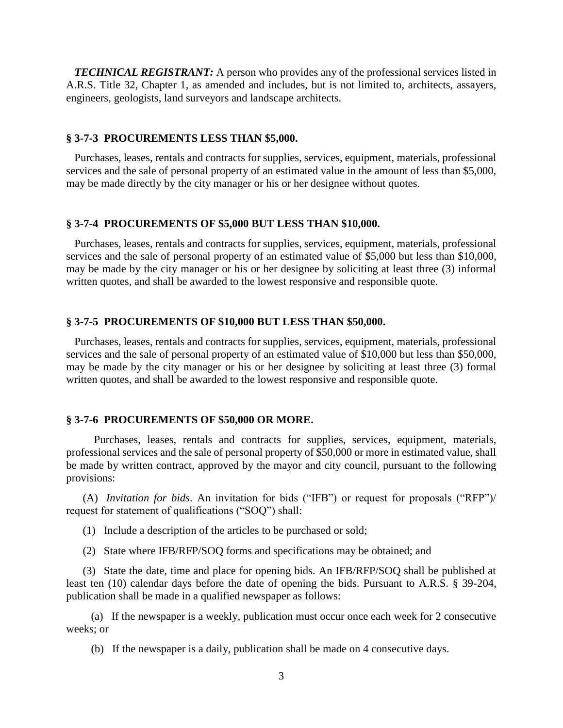*TECHNICAL REGISTRANT:* A person who provides any of the professional services listed in A.R.S. Title 32, Chapter 1, as amended and includes, but is not limited to, architects, assayers, engineers, geologists, land surveyors and landscape architects.

#### **§ 3-7-3 PROCUREMENTS LESS THAN \$5,000.**

 Purchases, leases, rentals and contracts for supplies, services, equipment, materials, professional services and the sale of personal property of an estimated value in the amount of less than \$5,000, may be made directly by the city manager or his or her designee without quotes.

#### **§ 3-7-4 PROCUREMENTS OF \$5,000 BUT LESS THAN \$10,000.**

Purchases, leases, rentals and contracts for supplies, services, equipment, materials, professional services and the sale of personal property of an estimated value of \$5,000 but less than \$10,000, may be made by the city manager or his or her designee by soliciting at least three (3) informal written quotes, and shall be awarded to the lowest responsive and responsible quote.

#### **§ 3-7-5 PROCUREMENTS OF \$10,000 BUT LESS THAN \$50,000.**

 Purchases, leases, rentals and contracts for supplies, services, equipment, materials, professional services and the sale of personal property of an estimated value of \$10,000 but less than \$50,000, may be made by the city manager or his or her designee by soliciting at least three (3) formal written quotes, and shall be awarded to the lowest responsive and responsible quote.

### **§ 3-7-6 PROCUREMENTS OF \$50,000 OR MORE.**

 Purchases, leases, rentals and contracts for supplies, services, equipment, materials, professional services and the sale of personal property of \$50,000 or more in estimated value, shall be made by written contract, approved by the mayor and city council, pursuant to the following provisions:

 (A) *Invitation for bids*. An invitation for bids ("IFB") or request for proposals ("RFP")/ request for statement of qualifications ("SOQ") shall:

- (1) Include a description of the articles to be purchased or sold;
- (2) State where IFB/RFP/SOQ forms and specifications may be obtained; and

 (3) State the date, time and place for opening bids. An IFB/RFP/SOQ shall be published at least ten (10) calendar days before the date of opening the bids. Pursuant to A.R.S. § 39-204, publication shall be made in a qualified newspaper as follows:

 (a) If the newspaper is a weekly, publication must occur once each week for 2 consecutive weeks; or

(b) If the newspaper is a daily, publication shall be made on 4 consecutive days.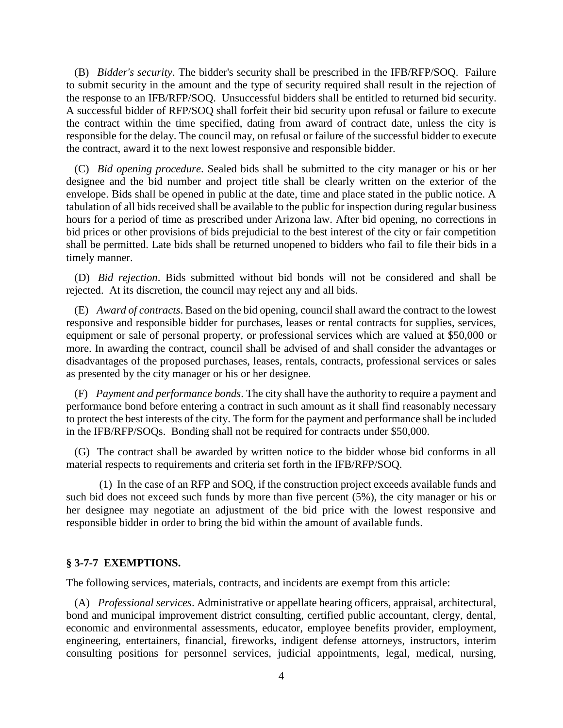(B) *Bidder's security*. The bidder's security shall be prescribed in the IFB/RFP/SOQ. Failure to submit security in the amount and the type of security required shall result in the rejection of the response to an IFB/RFP/SOQ. Unsuccessful bidders shall be entitled to returned bid security. A successful bidder of RFP/SOQ shall forfeit their bid security upon refusal or failure to execute the contract within the time specified, dating from award of contract date, unless the city is responsible for the delay. The council may, on refusal or failure of the successful bidder to execute the contract, award it to the next lowest responsive and responsible bidder.

 (C) *Bid opening procedure*. Sealed bids shall be submitted to the city manager or his or her designee and the bid number and project title shall be clearly written on the exterior of the envelope. Bids shall be opened in public at the date, time and place stated in the public notice. A tabulation of all bids received shall be available to the public for inspection during regular business hours for a period of time as prescribed under Arizona law. After bid opening, no corrections in bid prices or other provisions of bids prejudicial to the best interest of the city or fair competition shall be permitted. Late bids shall be returned unopened to bidders who fail to file their bids in a timely manner.

 (D) *Bid rejection*. Bids submitted without bid bonds will not be considered and shall be rejected. At its discretion, the council may reject any and all bids.

 (E) *Award of contracts*. Based on the bid opening, council shall award the contract to the lowest responsive and responsible bidder for purchases, leases or rental contracts for supplies, services, equipment or sale of personal property, or professional services which are valued at \$50,000 or more. In awarding the contract, council shall be advised of and shall consider the advantages or disadvantages of the proposed purchases, leases, rentals, contracts, professional services or sales as presented by the city manager or his or her designee.

 (F) *Payment and performance bonds*. The city shall have the authority to require a payment and performance bond before entering a contract in such amount as it shall find reasonably necessary to protect the best interests of the city. The form for the payment and performance shall be included in the IFB/RFP/SOQs. Bonding shall not be required for contracts under \$50,000.

 (G) The contract shall be awarded by written notice to the bidder whose bid conforms in all material respects to requirements and criteria set forth in the IFB/RFP/SOQ.

(1) In the case of an RFP and SOQ, if the construction project exceeds available funds and such bid does not exceed such funds by more than five percent (5%), the city manager or his or her designee may negotiate an adjustment of the bid price with the lowest responsive and responsible bidder in order to bring the bid within the amount of available funds.

#### **§ 3-7-7 EXEMPTIONS.**

The following services, materials, contracts, and incidents are exempt from this article:

 (A) *Professional services*. Administrative or appellate hearing officers, appraisal, architectural, bond and municipal improvement district consulting, certified public accountant, clergy, dental, economic and environmental assessments, educator, employee benefits provider, employment, engineering, entertainers, financial, fireworks, indigent defense attorneys, instructors, interim consulting positions for personnel services, judicial appointments, legal, medical, nursing,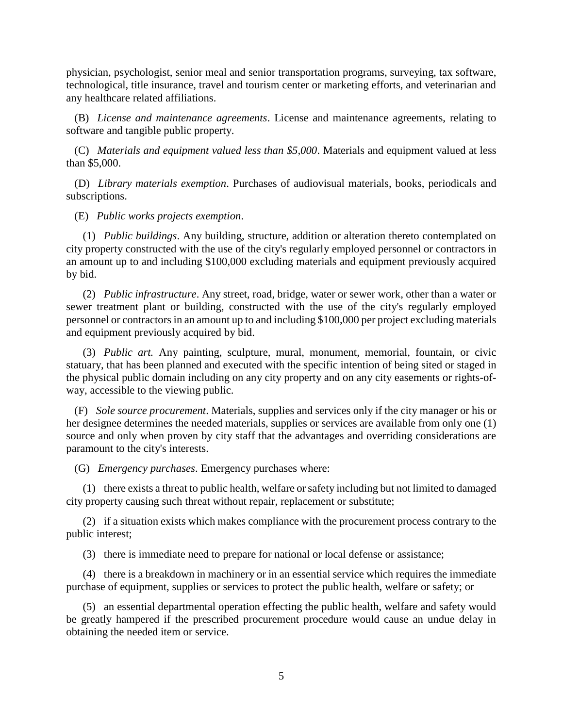physician, psychologist, senior meal and senior transportation programs, surveying, tax software, technological, title insurance, travel and tourism center or marketing efforts, and veterinarian and any healthcare related affiliations.

 (B) *License and maintenance agreements*. License and maintenance agreements, relating to software and tangible public property.

 (C) *Materials and equipment valued less than \$5,000*. Materials and equipment valued at less than \$5,000.

 (D) *Library materials exemption*. Purchases of audiovisual materials, books, periodicals and subscriptions.

(E) *Public works projects exemption*.

 (1) *Public buildings*. Any building, structure, addition or alteration thereto contemplated on city property constructed with the use of the city's regularly employed personnel or contractors in an amount up to and including \$100,000 excluding materials and equipment previously acquired by bid.

 (2) *Public infrastructure*. Any street, road, bridge, water or sewer work, other than a water or sewer treatment plant or building, constructed with the use of the city's regularly employed personnel or contractors in an amount up to and including \$100,000 per project excluding materials and equipment previously acquired by bid.

 (3) *Public art.* Any painting, sculpture, mural, monument, memorial, fountain, or civic statuary, that has been planned and executed with the specific intention of being sited or staged in the physical public domain including on any city property and on any city easements or rights-ofway, accessible to the viewing public.

 (F) *Sole source procurement*. Materials, supplies and services only if the city manager or his or her designee determines the needed materials, supplies or services are available from only one (1) source and only when proven by city staff that the advantages and overriding considerations are paramount to the city's interests.

(G) *Emergency purchases*. Emergency purchases where:

 (1) there exists a threat to public health, welfare or safety including but not limited to damaged city property causing such threat without repair, replacement or substitute;

 (2) if a situation exists which makes compliance with the procurement process contrary to the public interest;

(3) there is immediate need to prepare for national or local defense or assistance;

 (4) there is a breakdown in machinery or in an essential service which requires the immediate purchase of equipment, supplies or services to protect the public health, welfare or safety; or

 (5) an essential departmental operation effecting the public health, welfare and safety would be greatly hampered if the prescribed procurement procedure would cause an undue delay in obtaining the needed item or service.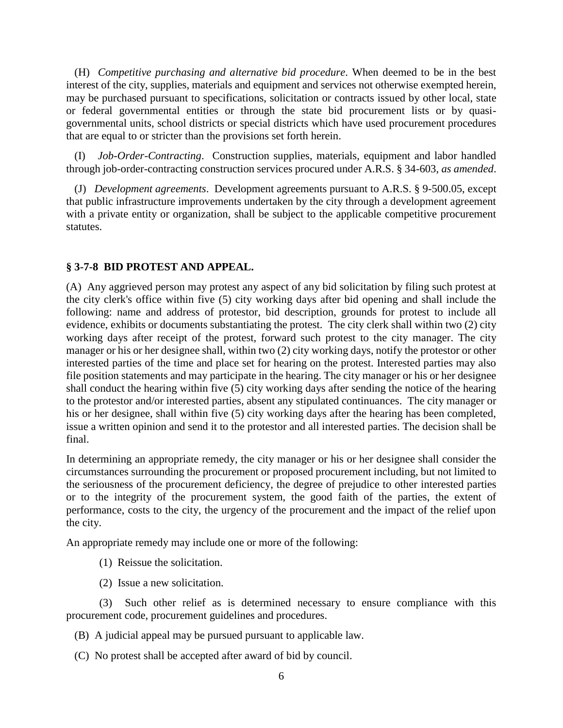(H) *Competitive purchasing and alternative bid procedure*. When deemed to be in the best interest of the city, supplies, materials and equipment and services not otherwise exempted herein, may be purchased pursuant to specifications, solicitation or contracts issued by other local, state or federal governmental entities or through the state bid procurement lists or by quasigovernmental units, school districts or special districts which have used procurement procedures that are equal to or stricter than the provisions set forth herein.

 (I) *Job-Order-Contracting*. Construction supplies, materials, equipment and labor handled through job-order-contracting construction services procured under A.R.S. § 34-603, *as amended*.

 (J) *Development agreements*. Development agreements pursuant to A.R.S. § 9-500.05, except that public infrastructure improvements undertaken by the city through a development agreement with a private entity or organization, shall be subject to the applicable competitive procurement statutes.

## **§ 3-7-8 BID PROTEST AND APPEAL.**

(A) Any aggrieved person may protest any aspect of any bid solicitation by filing such protest at the city clerk's office within five (5) city working days after bid opening and shall include the following: name and address of protestor, bid description, grounds for protest to include all evidence, exhibits or documents substantiating the protest. The city clerk shall within two (2) city working days after receipt of the protest, forward such protest to the city manager. The city manager or his or her designee shall, within two (2) city working days, notify the protestor or other interested parties of the time and place set for hearing on the protest. Interested parties may also file position statements and may participate in the hearing. The city manager or his or her designee shall conduct the hearing within five (5) city working days after sending the notice of the hearing to the protestor and/or interested parties, absent any stipulated continuances. The city manager or his or her designee, shall within five (5) city working days after the hearing has been completed, issue a written opinion and send it to the protestor and all interested parties. The decision shall be final.

In determining an appropriate remedy, the city manager or his or her designee shall consider the circumstances surrounding the procurement or proposed procurement including, but not limited to the seriousness of the procurement deficiency, the degree of prejudice to other interested parties or to the integrity of the procurement system, the good faith of the parties, the extent of performance, costs to the city, the urgency of the procurement and the impact of the relief upon the city.

An appropriate remedy may include one or more of the following:

- (1) Reissue the solicitation.
- (2) Issue a new solicitation.

(3) Such other relief as is determined necessary to ensure compliance with this procurement code, procurement guidelines and procedures.

- (B) A judicial appeal may be pursued pursuant to applicable law.
- (C) No protest shall be accepted after award of bid by council.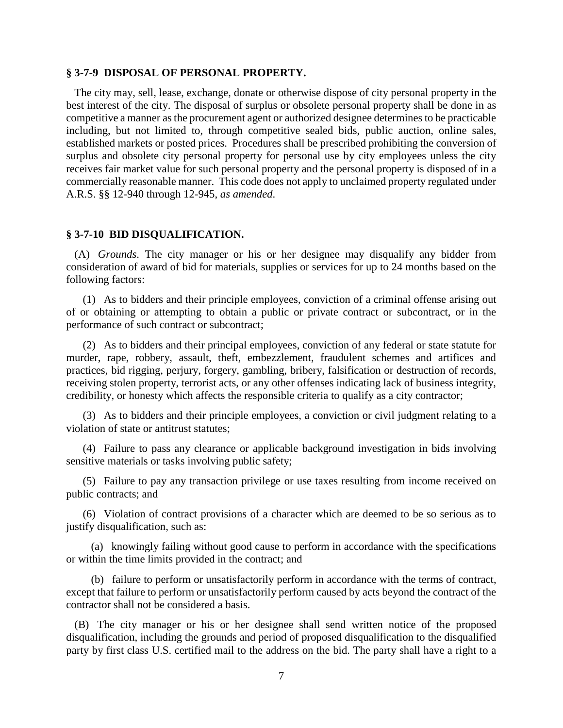#### **§ 3-7-9 DISPOSAL OF PERSONAL PROPERTY.**

 The city may, sell, lease, exchange, donate or otherwise dispose of city personal property in the best interest of the city. The disposal of surplus or obsolete personal property shall be done in as competitive a manner as the procurement agent or authorized designee determines to be practicable including, but not limited to, through competitive sealed bids, public auction, online sales, established markets or posted prices. Procedures shall be prescribed prohibiting the conversion of surplus and obsolete city personal property for personal use by city employees unless the city receives fair market value for such personal property and the personal property is disposed of in a commercially reasonable manner. This code does not apply to unclaimed property regulated under A.R.S. §§ 12-940 through 12-945, *as amended*.

#### **§ 3-7-10 BID DISQUALIFICATION.**

 (A) *Grounds*. The city manager or his or her designee may disqualify any bidder from consideration of award of bid for materials, supplies or services for up to 24 months based on the following factors:

 (1) As to bidders and their principle employees, conviction of a criminal offense arising out of or obtaining or attempting to obtain a public or private contract or subcontract, or in the performance of such contract or subcontract;

 (2) As to bidders and their principal employees, conviction of any federal or state statute for murder, rape, robbery, assault, theft, embezzlement, fraudulent schemes and artifices and practices, bid rigging, perjury, forgery, gambling, bribery, falsification or destruction of records, receiving stolen property, terrorist acts, or any other offenses indicating lack of business integrity, credibility, or honesty which affects the responsible criteria to qualify as a city contractor;

 (3) As to bidders and their principle employees, a conviction or civil judgment relating to a violation of state or antitrust statutes;

 (4) Failure to pass any clearance or applicable background investigation in bids involving sensitive materials or tasks involving public safety;

 (5) Failure to pay any transaction privilege or use taxes resulting from income received on public contracts; and

 (6) Violation of contract provisions of a character which are deemed to be so serious as to justify disqualification, such as:

 (a) knowingly failing without good cause to perform in accordance with the specifications or within the time limits provided in the contract; and

 (b) failure to perform or unsatisfactorily perform in accordance with the terms of contract, except that failure to perform or unsatisfactorily perform caused by acts beyond the contract of the contractor shall not be considered a basis.

 (B) The city manager or his or her designee shall send written notice of the proposed disqualification, including the grounds and period of proposed disqualification to the disqualified party by first class U.S. certified mail to the address on the bid. The party shall have a right to a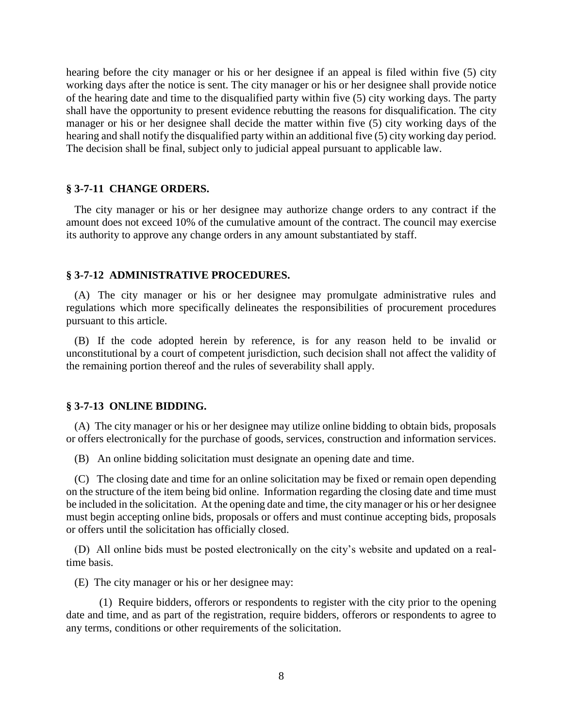hearing before the city manager or his or her designee if an appeal is filed within five (5) city working days after the notice is sent. The city manager or his or her designee shall provide notice of the hearing date and time to the disqualified party within five (5) city working days. The party shall have the opportunity to present evidence rebutting the reasons for disqualification. The city manager or his or her designee shall decide the matter within five (5) city working days of the hearing and shall notify the disqualified party within an additional five (5) city working day period. The decision shall be final, subject only to judicial appeal pursuant to applicable law.

#### **§ 3-7-11 CHANGE ORDERS.**

 The city manager or his or her designee may authorize change orders to any contract if the amount does not exceed 10% of the cumulative amount of the contract. The council may exercise its authority to approve any change orders in any amount substantiated by staff.

#### **§ 3-7-12 ADMINISTRATIVE PROCEDURES.**

 (A) The city manager or his or her designee may promulgate administrative rules and regulations which more specifically delineates the responsibilities of procurement procedures pursuant to this article.

 (B) If the code adopted herein by reference, is for any reason held to be invalid or unconstitutional by a court of competent jurisdiction, such decision shall not affect the validity of the remaining portion thereof and the rules of severability shall apply.

#### **§ 3-7-13 ONLINE BIDDING.**

 (A) The city manager or his or her designee may utilize online bidding to obtain bids, proposals or offers electronically for the purchase of goods, services, construction and information services.

(B) An online bidding solicitation must designate an opening date and time.

 (C) The closing date and time for an online solicitation may be fixed or remain open depending on the structure of the item being bid online. Information regarding the closing date and time must be included in the solicitation. At the opening date and time, the city manager or his or her designee must begin accepting online bids, proposals or offers and must continue accepting bids, proposals or offers until the solicitation has officially closed.

 (D) All online bids must be posted electronically on the city's website and updated on a realtime basis.

(E) The city manager or his or her designee may:

(1) Require bidders, offerors or respondents to register with the city prior to the opening date and time, and as part of the registration, require bidders, offerors or respondents to agree to any terms, conditions or other requirements of the solicitation.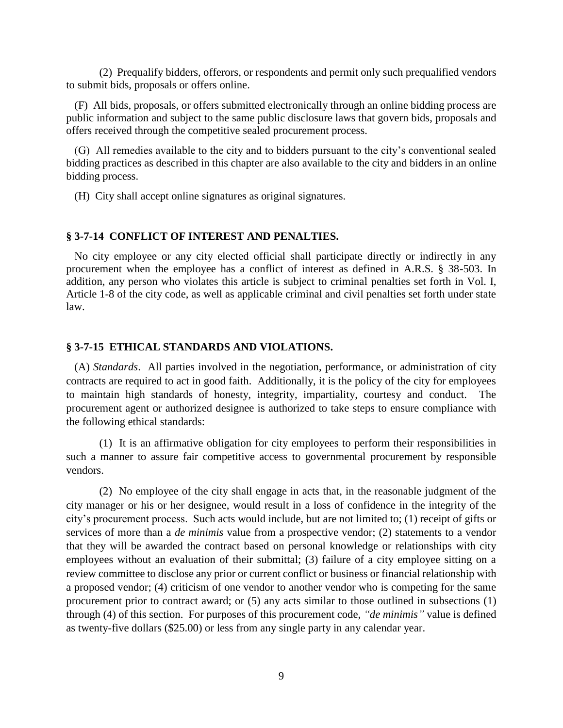(2) Prequalify bidders, offerors, or respondents and permit only such prequalified vendors to submit bids, proposals or offers online.

 (F) All bids, proposals, or offers submitted electronically through an online bidding process are public information and subject to the same public disclosure laws that govern bids, proposals and offers received through the competitive sealed procurement process.

 (G) All remedies available to the city and to bidders pursuant to the city's conventional sealed bidding practices as described in this chapter are also available to the city and bidders in an online bidding process.

(H) City shall accept online signatures as original signatures.

#### **§ 3-7-14 CONFLICT OF INTEREST AND PENALTIES.**

 No city employee or any city elected official shall participate directly or indirectly in any procurement when the employee has a conflict of interest as defined in A.R.S. § 38-503. In addition, any person who violates this article is subject to criminal penalties set forth in Vol. I, Article 1-8 of the city code, as well as applicable criminal and civil penalties set forth under state law.

#### **§ 3-7-15 ETHICAL STANDARDS AND VIOLATIONS.**

 (A) *Standards*. All parties involved in the negotiation, performance, or administration of city contracts are required to act in good faith. Additionally, it is the policy of the city for employees to maintain high standards of honesty, integrity, impartiality, courtesy and conduct. The procurement agent or authorized designee is authorized to take steps to ensure compliance with the following ethical standards:

(1) It is an affirmative obligation for city employees to perform their responsibilities in such a manner to assure fair competitive access to governmental procurement by responsible vendors.

(2) No employee of the city shall engage in acts that, in the reasonable judgment of the city manager or his or her designee, would result in a loss of confidence in the integrity of the city's procurement process. Such acts would include, but are not limited to; (1) receipt of gifts or services of more than a *de minimis* value from a prospective vendor; (2) statements to a vendor that they will be awarded the contract based on personal knowledge or relationships with city employees without an evaluation of their submittal; (3) failure of a city employee sitting on a review committee to disclose any prior or current conflict or business or financial relationship with a proposed vendor; (4) criticism of one vendor to another vendor who is competing for the same procurement prior to contract award; or (5) any acts similar to those outlined in subsections (1) through (4) of this section. For purposes of this procurement code, *"de minimis"* value is defined as twenty-five dollars (\$25.00) or less from any single party in any calendar year.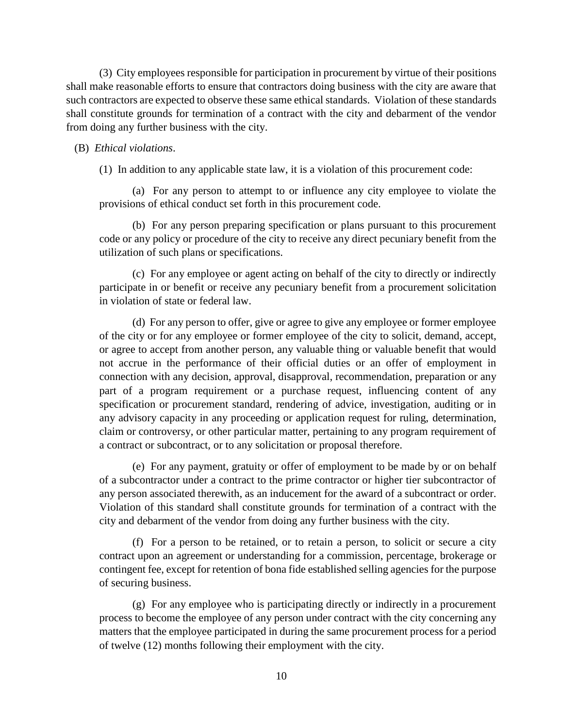(3) City employees responsible for participation in procurement by virtue of their positions shall make reasonable efforts to ensure that contractors doing business with the city are aware that such contractors are expected to observe these same ethical standards. Violation of these standards shall constitute grounds for termination of a contract with the city and debarment of the vendor from doing any further business with the city.

#### (B) *Ethical violations*.

(1) In addition to any applicable state law, it is a violation of this procurement code:

(a) For any person to attempt to or influence any city employee to violate the provisions of ethical conduct set forth in this procurement code.

(b) For any person preparing specification or plans pursuant to this procurement code or any policy or procedure of the city to receive any direct pecuniary benefit from the utilization of such plans or specifications.

(c) For any employee or agent acting on behalf of the city to directly or indirectly participate in or benefit or receive any pecuniary benefit from a procurement solicitation in violation of state or federal law.

(d) For any person to offer, give or agree to give any employee or former employee of the city or for any employee or former employee of the city to solicit, demand, accept, or agree to accept from another person, any valuable thing or valuable benefit that would not accrue in the performance of their official duties or an offer of employment in connection with any decision, approval, disapproval, recommendation, preparation or any part of a program requirement or a purchase request, influencing content of any specification or procurement standard, rendering of advice, investigation, auditing or in any advisory capacity in any proceeding or application request for ruling, determination, claim or controversy, or other particular matter, pertaining to any program requirement of a contract or subcontract, or to any solicitation or proposal therefore.

(e) For any payment, gratuity or offer of employment to be made by or on behalf of a subcontractor under a contract to the prime contractor or higher tier subcontractor of any person associated therewith, as an inducement for the award of a subcontract or order. Violation of this standard shall constitute grounds for termination of a contract with the city and debarment of the vendor from doing any further business with the city.

(f) For a person to be retained, or to retain a person, to solicit or secure a city contract upon an agreement or understanding for a commission, percentage, brokerage or contingent fee, except for retention of bona fide established selling agencies for the purpose of securing business.

(g) For any employee who is participating directly or indirectly in a procurement process to become the employee of any person under contract with the city concerning any matters that the employee participated in during the same procurement process for a period of twelve (12) months following their employment with the city.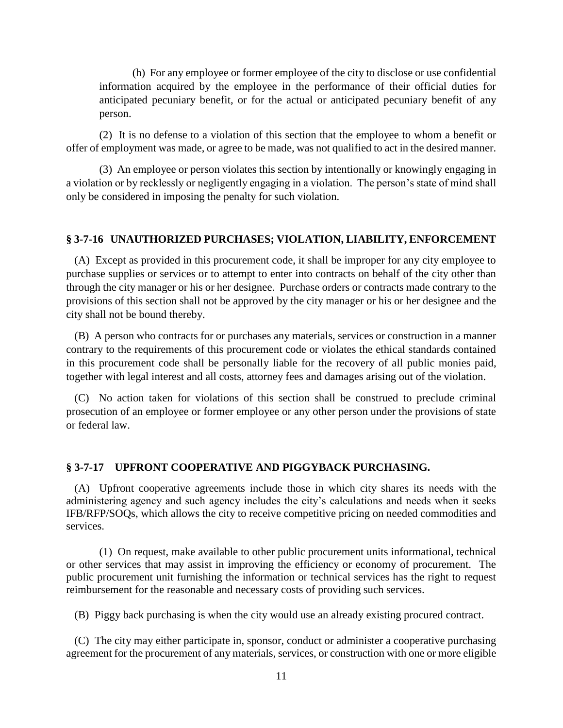(h) For any employee or former employee of the city to disclose or use confidential information acquired by the employee in the performance of their official duties for anticipated pecuniary benefit, or for the actual or anticipated pecuniary benefit of any person.

(2) It is no defense to a violation of this section that the employee to whom a benefit or offer of employment was made, or agree to be made, was not qualified to act in the desired manner.

(3) An employee or person violates this section by intentionally or knowingly engaging in a violation or by recklessly or negligently engaging in a violation. The person's state of mind shall only be considered in imposing the penalty for such violation.

## **§ 3-7-16 UNAUTHORIZED PURCHASES; VIOLATION, LIABILITY, ENFORCEMENT**

 (A) Except as provided in this procurement code, it shall be improper for any city employee to purchase supplies or services or to attempt to enter into contracts on behalf of the city other than through the city manager or his or her designee. Purchase orders or contracts made contrary to the provisions of this section shall not be approved by the city manager or his or her designee and the city shall not be bound thereby.

 (B) A person who contracts for or purchases any materials, services or construction in a manner contrary to the requirements of this procurement code or violates the ethical standards contained in this procurement code shall be personally liable for the recovery of all public monies paid, together with legal interest and all costs, attorney fees and damages arising out of the violation.

 (C) No action taken for violations of this section shall be construed to preclude criminal prosecution of an employee or former employee or any other person under the provisions of state or federal law.

## **§ 3-7-17 UPFRONT COOPERATIVE AND PIGGYBACK PURCHASING.**

 (A) Upfront cooperative agreements include those in which city shares its needs with the administering agency and such agency includes the city's calculations and needs when it seeks IFB/RFP/SOQs, which allows the city to receive competitive pricing on needed commodities and services.

 (1) On request, make available to other public procurement units informational, technical or other services that may assist in improving the efficiency or economy of procurement. The public procurement unit furnishing the information or technical services has the right to request reimbursement for the reasonable and necessary costs of providing such services.

(B) Piggy back purchasing is when the city would use an already existing procured contract.

 (C) The city may either participate in, sponsor, conduct or administer a cooperative purchasing agreement for the procurement of any materials, services, or construction with one or more eligible